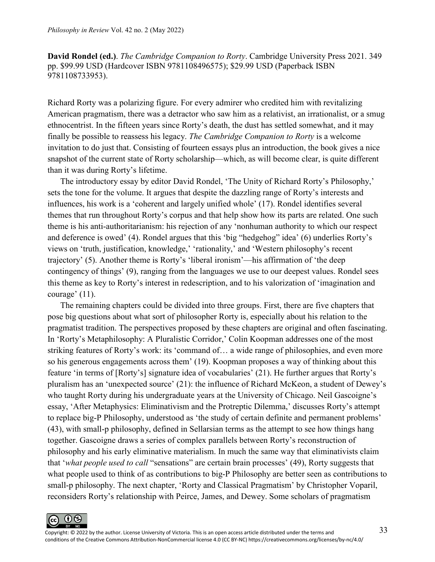**David Rondel (ed.)**. *The Cambridge Companion to Rorty*. Cambridge University Press 2021. 349 pp. \$99.99 USD (Hardcover ISBN 9781108496575); \$29.99 USD (Paperback ISBN 9781108733953).

Richard Rorty was a polarizing figure. For every admirer who credited him with revitalizing American pragmatism, there was a detractor who saw him as a relativist, an irrationalist, or a smug ethnocentrist. In the fifteen years since Rorty's death, the dust has settled somewhat, and it may finally be possible to reassess his legacy. *The Cambridge Companion to Rorty* is a welcome invitation to do just that. Consisting of fourteen essays plus an introduction, the book gives a nice snapshot of the current state of Rorty scholarship—which, as will become clear, is quite different than it was during Rorty's lifetime.

The introductory essay by editor David Rondel, 'The Unity of Richard Rorty's Philosophy,' sets the tone for the volume. It argues that despite the dazzling range of Rorty's interests and influences, his work is a 'coherent and largely unified whole' (17). Rondel identifies several themes that run throughout Rorty's corpus and that help show how its parts are related. One such theme is his anti-authoritarianism: his rejection of any 'nonhuman authority to which our respect and deference is owed' (4). Rondel argues that this 'big "hedgehog" idea' (6) underlies Rorty's views on 'truth, justification, knowledge,' 'rationality,' and 'Western philosophy's recent trajectory' (5). Another theme is Rorty's 'liberal ironism'—his affirmation of 'the deep contingency of things' (9), ranging from the languages we use to our deepest values. Rondel sees this theme as key to Rorty's interest in redescription, and to his valorization of 'imagination and courage' (11).

The remaining chapters could be divided into three groups. First, there are five chapters that pose big questions about what sort of philosopher Rorty is, especially about his relation to the pragmatist tradition. The perspectives proposed by these chapters are original and often fascinating. In 'Rorty's Metaphilosophy: A Pluralistic Corridor,' Colin Koopman addresses one of the most striking features of Rorty's work: its 'command of… a wide range of philosophies, and even more so his generous engagements across them' (19). Koopman proposes a way of thinking about this feature 'in terms of [Rorty's] signature idea of vocabularies' (21). He further argues that Rorty's pluralism has an 'unexpected source' (21): the influence of Richard McKeon, a student of Dewey's who taught Rorty during his undergraduate years at the University of Chicago. Neil Gascoigne's essay, 'After Metaphysics: Eliminativism and the Protreptic Dilemma,' discusses Rorty's attempt to replace big-P Philosophy, understood as 'the study of certain definite and permanent problems' (43), with small-p philosophy, defined in Sellarsian terms as the attempt to see how things hang together. Gascoigne draws a series of complex parallels between Rorty's reconstruction of philosophy and his early eliminative materialism. In much the same way that eliminativists claim that '*what people used to call* "sensations" are certain brain processes' (49), Rorty suggests that what people used to think of as contributions to big-P Philosophy are better seen as contributions to small-p philosophy. The next chapter, 'Rorty and Classical Pragmatism' by Christopher Voparil, reconsiders Rorty's relationship with Peirce, James, and Dewey. Some scholars of pragmatism

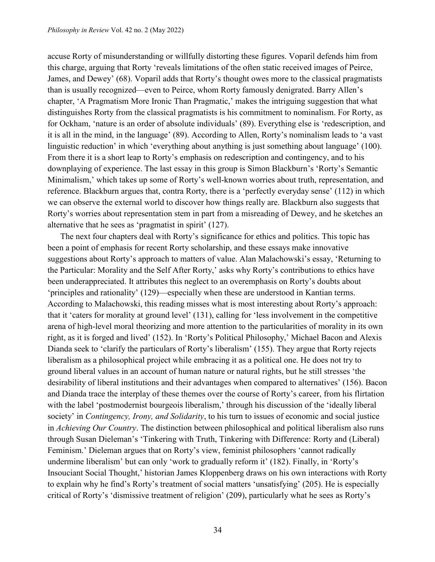accuse Rorty of misunderstanding or willfully distorting these figures. Voparil defends him from this charge, arguing that Rorty 'reveals limitations of the often static received images of Peirce, James, and Dewey' (68). Voparil adds that Rorty's thought owes more to the classical pragmatists than is usually recognized—even to Peirce, whom Rorty famously denigrated. Barry Allen's chapter, 'A Pragmatism More Ironic Than Pragmatic,' makes the intriguing suggestion that what distinguishes Rorty from the classical pragmatists is his commitment to nominalism. For Rorty, as for Ockham, 'nature is an order of absolute individuals' (89). Everything else is 'redescription, and it is all in the mind, in the language' (89). According to Allen, Rorty's nominalism leads to 'a vast linguistic reduction' in which 'everything about anything is just something about language' (100). From there it is a short leap to Rorty's emphasis on redescription and contingency, and to his downplaying of experience. The last essay in this group is Simon Blackburn's 'Rorty's Semantic Minimalism,' which takes up some of Rorty's well-known worries about truth, representation, and reference. Blackburn argues that, contra Rorty, there is a 'perfectly everyday sense' (112) in which we can observe the external world to discover how things really are. Blackburn also suggests that Rorty's worries about representation stem in part from a misreading of Dewey, and he sketches an alternative that he sees as 'pragmatist in spirit' (127).

The next four chapters deal with Rorty's significance for ethics and politics. This topic has been a point of emphasis for recent Rorty scholarship, and these essays make innovative suggestions about Rorty's approach to matters of value. Alan Malachowski's essay, 'Returning to the Particular: Morality and the Self After Rorty,' asks why Rorty's contributions to ethics have been underappreciated. It attributes this neglect to an overemphasis on Rorty's doubts about 'principles and rationality' (129)—especially when these are understood in Kantian terms. According to Malachowski, this reading misses what is most interesting about Rorty's approach: that it 'caters for morality at ground level' (131), calling for 'less involvement in the competitive arena of high-level moral theorizing and more attention to the particularities of morality in its own right, as it is forged and lived' (152). In 'Rorty's Political Philosophy,' Michael Bacon and Alexis Dianda seek to 'clarify the particulars of Rorty's liberalism' (155). They argue that Rorty rejects liberalism as a philosophical project while embracing it as a political one. He does not try to ground liberal values in an account of human nature or natural rights, but he still stresses 'the desirability of liberal institutions and their advantages when compared to alternatives' (156). Bacon and Dianda trace the interplay of these themes over the course of Rorty's career, from his flirtation with the label 'postmodernist bourgeois liberalism,' through his discussion of the 'ideally liberal society' in *Contingency, Irony, and Solidarity*, to his turn to issues of economic and social justice in *Achieving Our Country*. The distinction between philosophical and political liberalism also runs through Susan Dieleman's 'Tinkering with Truth, Tinkering with Difference: Rorty and (Liberal) Feminism.' Dieleman argues that on Rorty's view, feminist philosophers 'cannot radically undermine liberalism' but can only 'work to gradually reform it' (182). Finally, in 'Rorty's Insouciant Social Thought,' historian James Kloppenberg draws on his own interactions with Rorty to explain why he find's Rorty's treatment of social matters 'unsatisfying' (205). He is especially critical of Rorty's 'dismissive treatment of religion' (209), particularly what he sees as Rorty's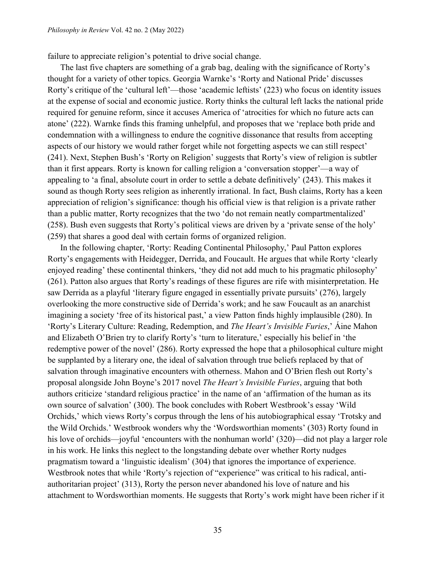failure to appreciate religion's potential to drive social change.

The last five chapters are something of a grab bag, dealing with the significance of Rorty's thought for a variety of other topics. Georgia Warnke's 'Rorty and National Pride' discusses Rorty's critique of the 'cultural left'—those 'academic leftists' (223) who focus on identity issues at the expense of social and economic justice. Rorty thinks the cultural left lacks the national pride required for genuine reform, since it accuses America of 'atrocities for which no future acts can atone' (222). Warnke finds this framing unhelpful, and proposes that we 'replace both pride and condemnation with a willingness to endure the cognitive dissonance that results from accepting aspects of our history we would rather forget while not forgetting aspects we can still respect' (241). Next, Stephen Bush's 'Rorty on Religion' suggests that Rorty's view of religion is subtler than it first appears. Rorty is known for calling religion a 'conversation stopper'—a way of appealing to 'a final, absolute court in order to settle a debate definitively' (243). This makes it sound as though Rorty sees religion as inherently irrational. In fact, Bush claims, Rorty has a keen appreciation of religion's significance: though his official view is that religion is a private rather than a public matter, Rorty recognizes that the two 'do not remain neatly compartmentalized' (258). Bush even suggests that Rorty's political views are driven by a 'private sense of the holy' (259) that shares a good deal with certain forms of organized religion.

In the following chapter, 'Rorty: Reading Continental Philosophy,' Paul Patton explores Rorty's engagements with Heidegger, Derrida, and Foucault. He argues that while Rorty 'clearly enjoyed reading' these continental thinkers, 'they did not add much to his pragmatic philosophy' (261). Patton also argues that Rorty's readings of these figures are rife with misinterpretation. He saw Derrida as a playful 'literary figure engaged in essentially private pursuits' (276), largely overlooking the more constructive side of Derrida's work; and he saw Foucault as an anarchist imagining a society 'free of its historical past,' a view Patton finds highly implausible (280). In 'Rorty's Literary Culture: Reading, Redemption, and *The Heart's Invisible Furies*,' Áine Mahon and Elizabeth O'Brien try to clarify Rorty's 'turn to literature,' especially his belief in 'the redemptive power of the novel' (286). Rorty expressed the hope that a philosophical culture might be supplanted by a literary one, the ideal of salvation through true beliefs replaced by that of salvation through imaginative encounters with otherness. Mahon and O'Brien flesh out Rorty's proposal alongside John Boyne's 2017 novel *The Heart's Invisible Furies*, arguing that both authors criticize 'standard religious practice' in the name of an 'affirmation of the human as its own source of salvation' (300). The book concludes with Robert Westbrook's essay 'Wild Orchids,' which views Rorty's corpus through the lens of his autobiographical essay 'Trotsky and the Wild Orchids.' Westbrook wonders why the 'Wordsworthian moments' (303) Rorty found in his love of orchids—joyful 'encounters with the nonhuman world' (320)—did not play a larger role in his work. He links this neglect to the longstanding debate over whether Rorty nudges pragmatism toward a 'linguistic idealism' (304) that ignores the importance of experience. Westbrook notes that while 'Rorty's rejection of "experience" was critical to his radical, antiauthoritarian project' (313), Rorty the person never abandoned his love of nature and his attachment to Wordsworthian moments. He suggests that Rorty's work might have been richer if it